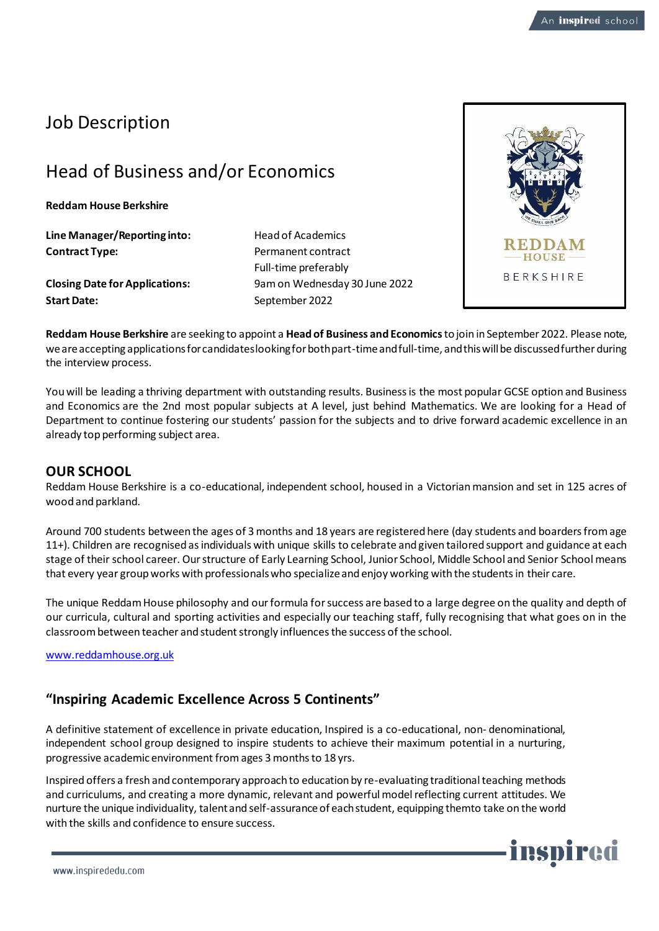## Job Description

# Head of Business and/or Economics

**Reddam House Berkshire**

**Line Manager/Reporting into:** Head of Academics **Contract Type:** Permanent contract

**Start Date:** September 2022

Full-time preferably **Closing Date for Applications:** 9am on Wednesday 30 June 2022



**Reddam House Berkshire** are seeking to appoint a **Head of Business and Economics**to join in September 2022. Please note, we are accepting applications for candidates looking for both part-time and full-time, and this will be discussed further during the interview process.

You will be leading a thriving department with outstanding results. Business is the most popular GCSE option and Business and Economics are the 2nd most popular subjects at A level, just behind Mathematics. We are looking for a Head of Department to continue fostering our students' passion for the subjects and to drive forward academic excellence in an already top performing subject area.

## **OUR SCHOOL**

Reddam House Berkshire is a co-educational, independent school, housed in a Victorian mansion and set in 125 acres of wood and parkland.

Around 700 students between the ages of 3 months and 18 years are registered here (day students and boarders from age 11+). Children are recognised as individuals with unique skills to celebrate and given tailored support and guidance at each stage of their school career. Our structure of Early Learning School, Junior School, Middle School and Senior School means that every year group works with professionals who specialize and enjoy working with the students in their care.

The unique Reddam House philosophy and our formula for success are based to a large degree on the quality and depth of our curricula, cultural and sporting activities and especially our teaching staff, fully recognising that what goes on in the classroom between teacher and student strongly influences the success of the school.

[www.reddamhouse.org.uk](http://www.reddamhouse.org.uk/)

## **"Inspiring Academic Excellence Across 5 Continents"**

A definitive statement of excellence in private education, Inspired is a co-educational, non- denominational, independent school group designed to inspire students to achieve their maximum potential in a nurturing, progressive academic environment fromages 3 monthsto 18 yrs.

Inspired offers a fresh and contemporary approach to education by re-evaluating traditional teaching methods and curriculums, and creating a more dynamic, relevant and powerful model reflecting current attitudes. We nurture the unique individuality, talent and self-assurance of each student, equipping themto take on the world with the skills and confidence to ensure success.

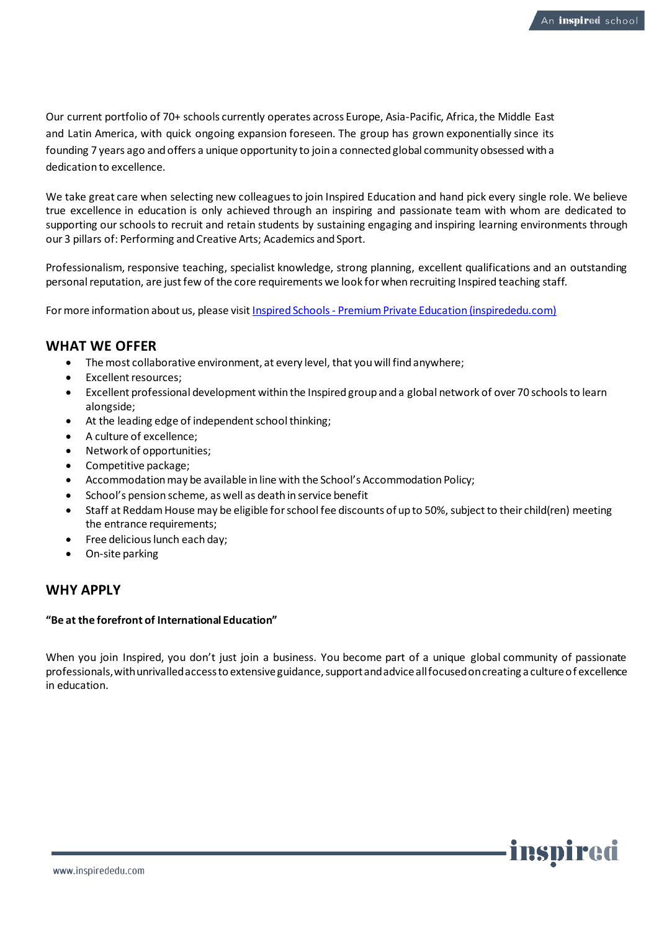Our current portfolio of 70+ schools currently operates across Europe, Asia-Pacific, Africa, the Middle East and Latin America, with quick ongoing expansion foreseen. The group has grown exponentially since its founding 7 years ago and offers a unique opportunity to join a connected global community obsessed with a dedication to excellence.

We take great care when selecting new colleagues to join Inspired Education and hand pick every single role. We believe true excellence in education is only achieved through an inspiring and passionate team with whom are dedicated to supporting our schools to recruit and retain students by sustaining engaging and inspiring learning environments through our 3 pillars of: Performing and Creative Arts; Academics and Sport.

Professionalism, responsive teaching, specialist knowledge, strong planning, excellent qualifications and an outstanding personal reputation, are justfew of the core requirements we look for when recruiting Inspired teaching staff.

For more information about us, please visit Inspired Schools - [Premium Private Education \(inspirededu.com\)](https://inspirededu.com/our-schools)

## **WHAT WE OFFER**

- The most collaborative environment, at every level, that you will find anywhere;
- Excellent resources;
- Excellent professional development within the Inspired group and a global network of over 70 schools to learn alongside;
- At the leading edge of independent school thinking;
- A culture of excellence;
- Network of opportunities;
- Competitive package;
- Accommodation may be available in line with the School's Accommodation Policy;
- School's pension scheme, as well as death in service benefit
- Staff at Reddam House may be eligible for school fee discounts of up to 50%, subject to their child(ren) meeting the entrance requirements;
- Free delicious lunch each day;
- On-site parking

## **WHY APPLY**

#### **"Be at the forefront of International Education"**

When you join Inspired, you don't just join a business. You become part of a unique global community of passionate professionals, with unrivalled access to extensive guidance, support and advice all focused on creating a culture of excellence in education.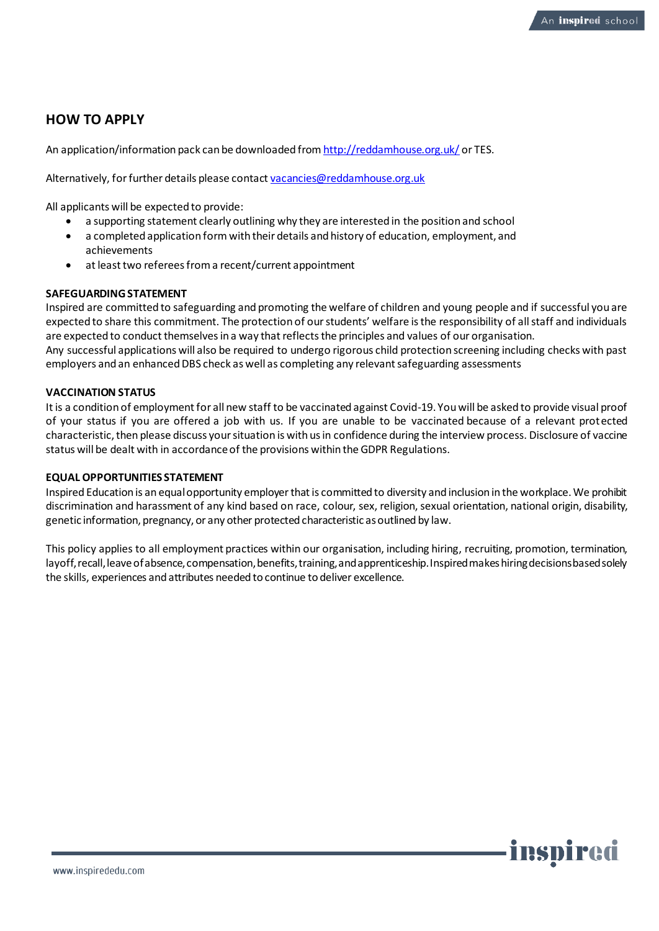## **HOW TO APPLY**

An application/information pack can be downloaded fro[m http://reddamhouse.org.uk/](http://reddamhouse.org.uk/) or TES.

Alternatively, for further details please contac[t vacancies@reddamhouse.org.uk](mailto:vacancies@reddamhouse.org.uk)

All applicants will be expected to provide:

- a supporting statement clearly outlining why they are interested in the position and school
- a completed application form with their details and history of education, employment, and achievements
- at least two referees from a recent/current appointment

## **SAFEGUARDING STATEMENT**

Inspired are committed to safeguarding and promoting the welfare of children and young people and if successful you are expected to share this commitment. The protection of our students' welfare is the responsibility of all staff and individuals are expected to conduct themselves in a way that reflects the principles and values of our organisation. Any successful applications will also be required to undergo rigorous child protection screening including checks with past employers and an enhanced DBS check as well as completing any relevant safeguarding assessments

## **VACCINATION STATUS**

It is a condition of employment for all new staff to be vaccinated against Covid-19. You will be asked to provide visual proof of your status if you are offered a job with us. If you are unable to be vaccinated because of a relevant protected characteristic, then please discuss your situation is with us in confidence during the interview process. Disclosure of vaccine status will be dealt with in accordance of the provisions within the GDPR Regulations.

#### **EQUAL OPPORTUNITIES STATEMENT**

Inspired Education is an equal opportunity employer that is committed to diversity and inclusion in the workplace. We prohibit discrimination and harassment of any kind based on race, colour, sex, religion, sexual orientation, national origin, disability, genetic information, pregnancy, or any other protected characteristic as outlined by law.

This policy applies to all employment practices within our organisation, including hiring, recruiting, promotion, termination, layoff, recall, leave of absence, compensation, benefits, training, and apprenticeship. Inspired makes hiring decisions based solely the skills, experiences and attributes needed to continue to deliver excellence.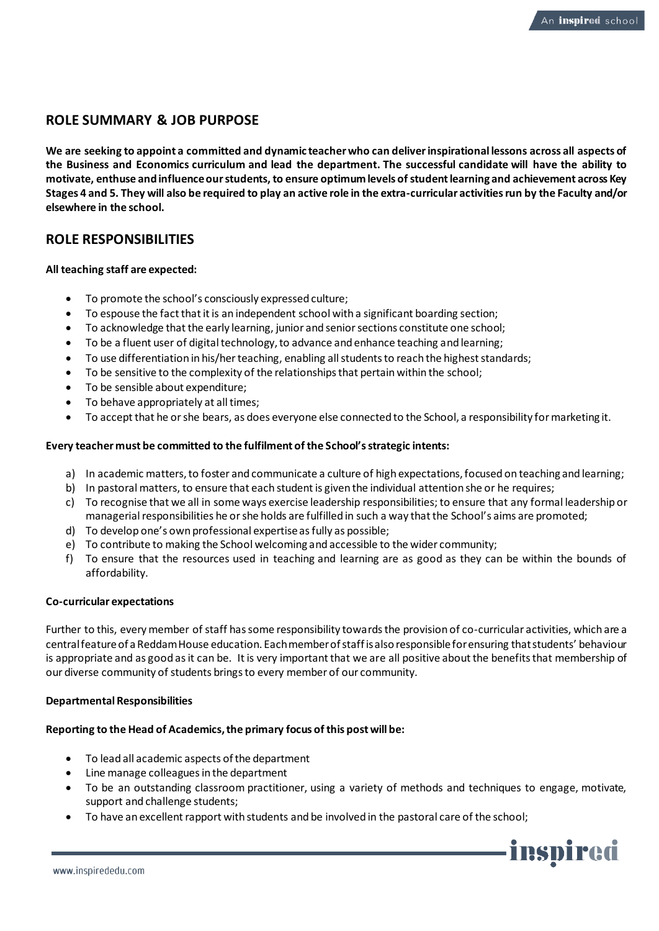## **ROLE SUMMARY & JOB PURPOSE**

**We are seeking to appoint a committed and dynamic teacher who can deliver inspirational lessons across all aspects of the Business and Economics curriculum and lead the department. The successful candidate will have the ability to motivate, enthuse and influence our students, to ensure optimum levels of student learning and achievement across Key Stages 4 and 5. They will also be required to play an active role in the extra-curricular activities run by the Faculty and/or elsewhere in the school.**

## **ROLE RESPONSIBILITIES**

## **All teaching staff are expected:**

- To promote the school's consciously expressed culture;
- To espouse the fact that it is an independent school with a significant boarding section;
- To acknowledge that the early learning, junior and senior sections constitute one school;
- To be a fluent user of digital technology, to advance and enhance teaching and learning;
- To use differentiation in his/her teaching, enabling all students to reach the highest standards;
- To be sensitive to the complexity of the relationships that pertain within the school;
- To be sensible about expenditure;
- To behave appropriately at all times;
- To accept that he or she bears, as does everyone else connected to the School, a responsibility for marketing it.

## **Every teacher must be committed to the fulfilment of the School's strategic intents:**

- a) In academic matters, to foster and communicate a culture of high expectations, focused on teaching and learning;
- b) In pastoral matters, to ensure that each student is given the individual attention she or he requires;
- c) To recognise that we all in some ways exercise leadership responsibilities; to ensure that any formal leadership or managerial responsibilities he or she holds are fulfilled in such a way that the School's aims are promoted;
- d) To develop one's own professional expertise as fully as possible;
- e) To contribute to making the School welcoming and accessible to the wider community;
- f) To ensure that the resources used in teaching and learning are as good as they can be within the bounds of affordability.

#### **Co-curricular expectations**

Further to this, every member of staff has some responsibility towards the provision of co-curricular activities, which are a central feature of a Reddam House education. Each member of staff is also responsible for ensuring that students' behaviour is appropriate and as good as it can be. It is very important that we are all positive about the benefits that membership of our diverse community of students brings to every member of our community.

#### **Departmental Responsibilities**

#### **Reporting to the Head of Academics, the primary focus of this post will be:**

- To lead all academic aspects of the department
- Line manage colleagues in the department
- To be an outstanding classroom practitioner, using a variety of methods and techniques to engage, motivate, support and challenge students;
- To have an excellent rapport with students and be involved in the pastoral care of the school;

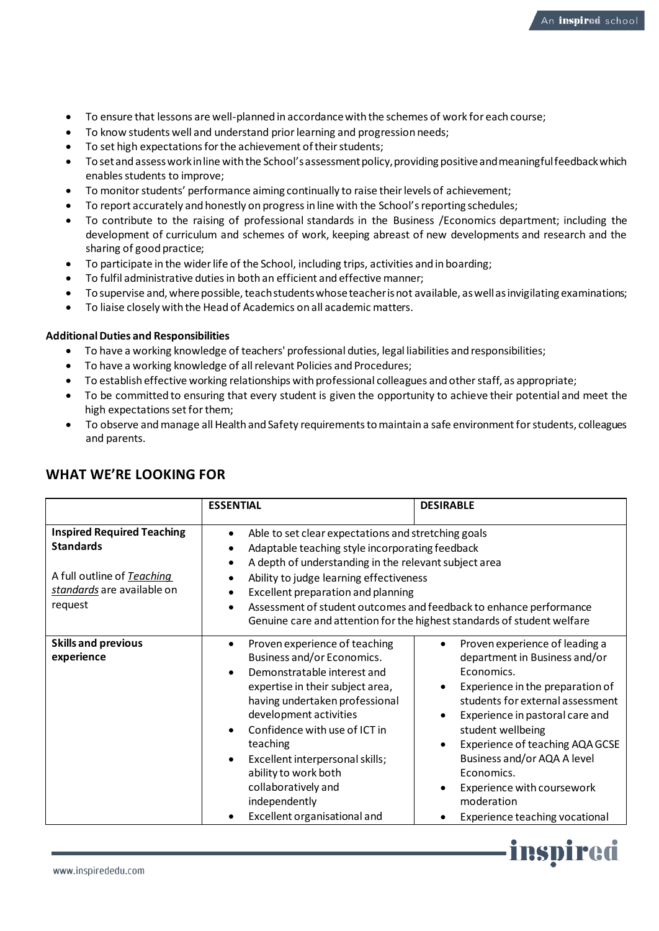- To ensure that lessons are well-planned in accordance with the schemes of work for each course;
- To know students well and understand prior learning and progression needs;
- To set high expectations for the achievement of their students;
- To set and assess work in line with the School's assessment policy, providing positive and meaningful feedback which enables students to improve;
- To monitor students' performance aiming continually to raise their levels of achievement;
- To report accurately and honestly on progress in line with the School's reporting schedules;
- To contribute to the raising of professional standards in the Business /Economics department; including the development of curriculum and schemes of work, keeping abreast of new developments and research and the sharing of good practice;
- To participate in the wider life of the School, including trips, activities and in boarding;
- To fulfil administrative duties in both an efficient and effective manner;
- To supervise and, where possible, teach students whose teacher is not available, as well as invigilating examinations;
- To liaise closely with the Head of Academics on all academic matters.

## **Additional Duties and Responsibilities**

- To have a working knowledge of teachers' professional duties, legal liabilities and responsibilities;
- To have a working knowledge of all relevant Policies and Procedures;
- To establish effective working relationships with professional colleagues and other staff, as appropriate;
- To be committed to ensuring that every student is given the opportunity to achieve their potential and meet the high expectations set for them;
- To observe and manage all Health and Safety requirements to maintain a safe environment for students, colleagues and parents.

|                                                                                                                              | <b>ESSENTIAL</b>                                                                                                                                                                                                                                                                                                                                                           | <b>DESIRABLE</b>                                                                                                                                                                                                                                                                                                                                                            |
|------------------------------------------------------------------------------------------------------------------------------|----------------------------------------------------------------------------------------------------------------------------------------------------------------------------------------------------------------------------------------------------------------------------------------------------------------------------------------------------------------------------|-----------------------------------------------------------------------------------------------------------------------------------------------------------------------------------------------------------------------------------------------------------------------------------------------------------------------------------------------------------------------------|
| <b>Inspired Required Teaching</b><br><b>Standards</b><br>A full outline of Teaching<br>standards are available on<br>request | Able to set clear expectations and stretching goals<br>$\bullet$<br>Adaptable teaching style incorporating feedback<br>A depth of understanding in the relevant subject area<br>Ability to judge learning effectiveness<br>Excellent preparation and planning                                                                                                              | Assessment of student outcomes and feedback to enhance performance<br>Genuine care and attention for the highest standards of student welfare                                                                                                                                                                                                                               |
| <b>Skills and previous</b><br>experience                                                                                     | Proven experience of teaching<br>Business and/or Economics.<br>Demonstratable interest and<br>expertise in their subject area,<br>having undertaken professional<br>development activities<br>Confidence with use of ICT in<br>teaching<br>Excellent interpersonal skills;<br>ability to work both<br>collaboratively and<br>independently<br>Excellent organisational and | Proven experience of leading a<br>department in Business and/or<br>Economics.<br>Experience in the preparation of<br>students for external assessment<br>Experience in pastoral care and<br>student wellbeing<br>Experience of teaching AQA GCSE<br>Business and/or AQA A level<br>Economics.<br>Experience with coursework<br>moderation<br>Experience teaching vocational |

## **WHAT WE'RE LOOKING FOR**

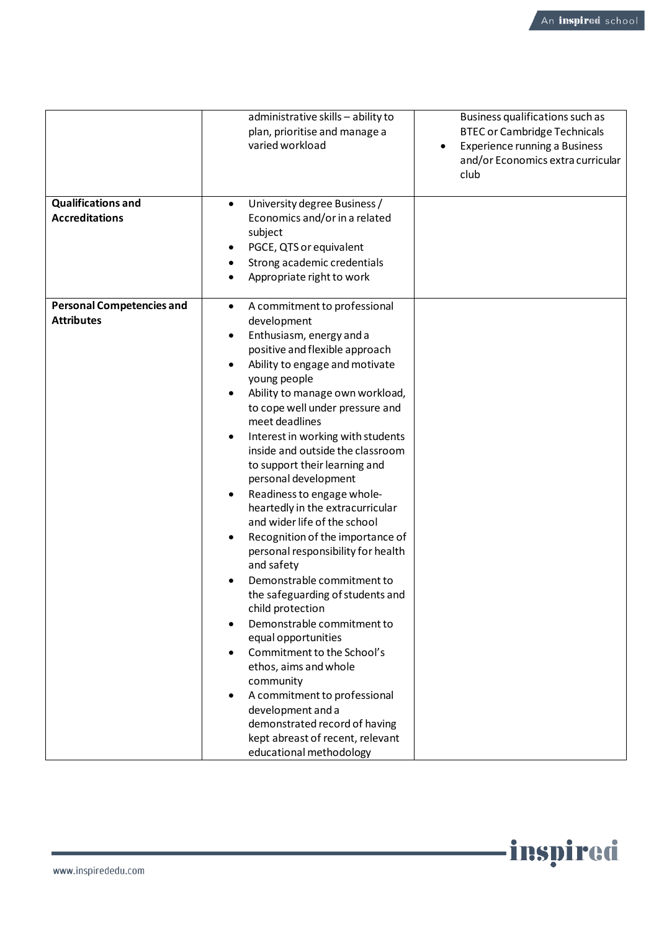-inspired

|                                                       | administrative skills - ability to<br>plan, prioritise and manage a<br>varied workload                                                                                                                                                                                                                                                                                                                                                                                                                                                                                                                                                                                                                                                                                                                                                                                                                                                                                | Business qualifications such as<br><b>BTEC or Cambridge Technicals</b><br><b>Experience running a Business</b><br>$\bullet$<br>and/or Economics extra curricular<br>club |
|-------------------------------------------------------|-----------------------------------------------------------------------------------------------------------------------------------------------------------------------------------------------------------------------------------------------------------------------------------------------------------------------------------------------------------------------------------------------------------------------------------------------------------------------------------------------------------------------------------------------------------------------------------------------------------------------------------------------------------------------------------------------------------------------------------------------------------------------------------------------------------------------------------------------------------------------------------------------------------------------------------------------------------------------|--------------------------------------------------------------------------------------------------------------------------------------------------------------------------|
| <b>Qualifications and</b><br><b>Accreditations</b>    | University degree Business /<br>$\bullet$<br>Economics and/or in a related<br>subject<br>PGCE, QTS or equivalent<br>Strong academic credentials<br>Appropriate right to work                                                                                                                                                                                                                                                                                                                                                                                                                                                                                                                                                                                                                                                                                                                                                                                          |                                                                                                                                                                          |
| <b>Personal Competencies and</b><br><b>Attributes</b> | A commitment to professional<br>$\bullet$<br>development<br>Enthusiasm, energy and a<br>positive and flexible approach<br>Ability to engage and motivate<br>young people<br>Ability to manage own workload,<br>to cope well under pressure and<br>meet deadlines<br>Interest in working with students<br>٠<br>inside and outside the classroom<br>to support their learning and<br>personal development<br>Readiness to engage whole-<br>heartedly in the extracurricular<br>and wider life of the school<br>Recognition of the importance of<br>personal responsibility for health<br>and safety<br>Demonstrable commitment to<br>the safeguarding of students and<br>child protection<br>Demonstrable commitment to<br>equal opportunities<br>Commitment to the School's<br>ethos, aims and whole<br>community<br>A commitment to professional<br>development and a<br>demonstrated record of having<br>kept abreast of recent, relevant<br>educational methodology |                                                                                                                                                                          |